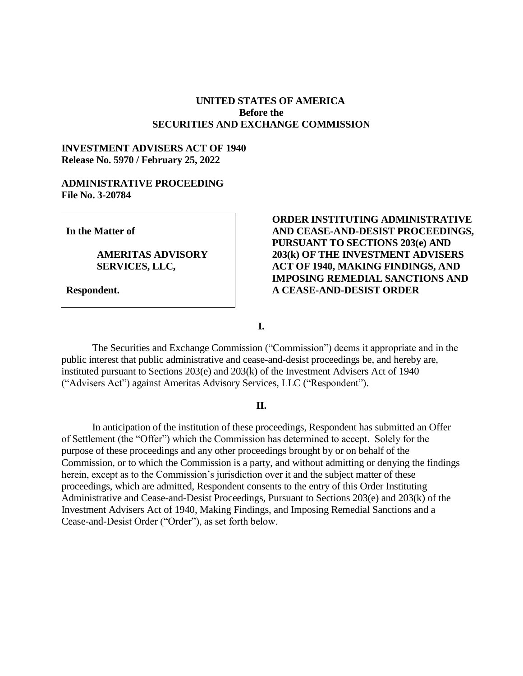# **UNITED STATES OF AMERICA Before the SECURITIES AND EXCHANGE COMMISSION**

## **INVESTMENT ADVISERS ACT OF 1940 Release No. 5970 / February 25, 2022**

## **ADMINISTRATIVE PROCEEDING File No. 3-20784**

**In the Matter of**

# **AMERITAS ADVISORY SERVICES, LLC,**

**Respondent.**

# **ORDER INSTITUTING ADMINISTRATIVE AND CEASE-AND-DESIST PROCEEDINGS, PURSUANT TO SECTIONS 203(e) AND 203(k) OF THE INVESTMENT ADVISERS ACT OF 1940, MAKING FINDINGS, AND IMPOSING REMEDIAL SANCTIONS AND A CEASE-AND-DESIST ORDER**

**I.**

The Securities and Exchange Commission ("Commission") deems it appropriate and in the public interest that public administrative and cease-and-desist proceedings be, and hereby are, instituted pursuant to Sections 203(e) and 203(k) of the Investment Advisers Act of 1940 ("Advisers Act") against Ameritas Advisory Services, LLC ("Respondent").

### **II.**

In anticipation of the institution of these proceedings, Respondent has submitted an Offer of Settlement (the "Offer") which the Commission has determined to accept. Solely for the purpose of these proceedings and any other proceedings brought by or on behalf of the Commission, or to which the Commission is a party, and without admitting or denying the findings herein, except as to the Commission's jurisdiction over it and the subject matter of these proceedings, which are admitted, Respondent consents to the entry of this Order Instituting Administrative and Cease-and-Desist Proceedings, Pursuant to Sections 203(e) and 203(k) of the Investment Advisers Act of 1940, Making Findings, and Imposing Remedial Sanctions and a Cease-and-Desist Order ("Order"), as set forth below.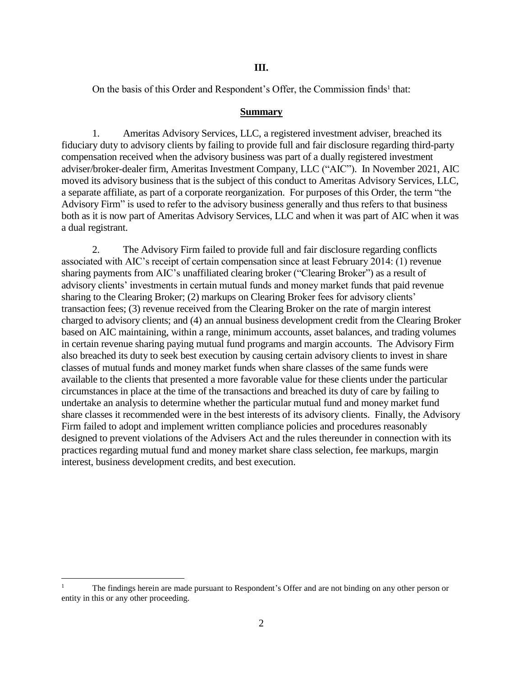On the basis of this Order and Respondent's Offer, the Commission finds<sup>1</sup> that:

## **Summary**

1. Ameritas Advisory Services, LLC, a registered investment adviser, breached its fiduciary duty to advisory clients by failing to provide full and fair disclosure regarding third-party compensation received when the advisory business was part of a dually registered investment adviser/broker-dealer firm, Ameritas Investment Company, LLC ("AIC"). In November 2021, AIC moved its advisory business that is the subject of this conduct to Ameritas Advisory Services, LLC, a separate affiliate, as part of a corporate reorganization. For purposes of this Order, the term "the Advisory Firm" is used to refer to the advisory business generally and thus refers to that business both as it is now part of Ameritas Advisory Services, LLC and when it was part of AIC when it was a dual registrant.

2. The Advisory Firm failed to provide full and fair disclosure regarding conflicts associated with AIC's receipt of certain compensation since at least February 2014: (1) revenue sharing payments from AIC's unaffiliated clearing broker ("Clearing Broker") as a result of advisory clients' investments in certain mutual funds and money market funds that paid revenue sharing to the Clearing Broker; (2) markups on Clearing Broker fees for advisory clients' transaction fees; (3) revenue received from the Clearing Broker on the rate of margin interest charged to advisory clients; and (4) an annual business development credit from the Clearing Broker based on AIC maintaining, within a range, minimum accounts, asset balances, and trading volumes in certain revenue sharing paying mutual fund programs and margin accounts. The Advisory Firm also breached its duty to seek best execution by causing certain advisory clients to invest in share classes of mutual funds and money market funds when share classes of the same funds were available to the clients that presented a more favorable value for these clients under the particular circumstances in place at the time of the transactions and breached its duty of care by failing to undertake an analysis to determine whether the particular mutual fund and money market fund share classes it recommended were in the best interests of its advisory clients. Finally, the Advisory Firm failed to adopt and implement written compliance policies and procedures reasonably designed to prevent violations of the Advisers Act and the rules thereunder in connection with its practices regarding mutual fund and money market share class selection, fee markups, margin interest, business development credits, and best execution.

 $\overline{a}$ 

<sup>1</sup> The findings herein are made pursuant to Respondent's Offer and are not binding on any other person or entity in this or any other proceeding.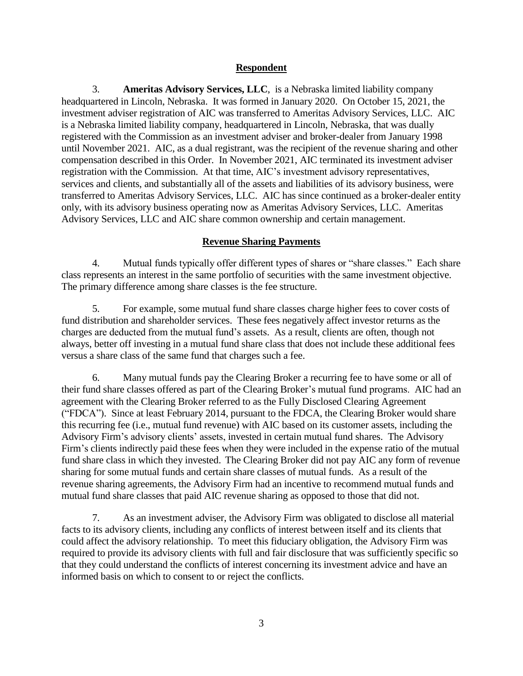# **Respondent**

3. **Ameritas Advisory Services, LLC**, is a Nebraska limited liability company headquartered in Lincoln, Nebraska. It was formed in January 2020. On October 15, 2021, the investment adviser registration of AIC was transferred to Ameritas Advisory Services, LLC. AIC is a Nebraska limited liability company, headquartered in Lincoln, Nebraska, that was dually registered with the Commission as an investment adviser and broker-dealer from January 1998 until November 2021. AIC, as a dual registrant, was the recipient of the revenue sharing and other compensation described in this Order. In November 2021, AIC terminated its investment adviser registration with the Commission. At that time, AIC's investment advisory representatives, services and clients, and substantially all of the assets and liabilities of its advisory business, were transferred to Ameritas Advisory Services, LLC. AIC has since continued as a broker-dealer entity only, with its advisory business operating now as Ameritas Advisory Services, LLC. Ameritas Advisory Services, LLC and AIC share common ownership and certain management.

# **Revenue Sharing Payments**

4. Mutual funds typically offer different types of shares or "share classes." Each share class represents an interest in the same portfolio of securities with the same investment objective. The primary difference among share classes is the fee structure.

5. For example, some mutual fund share classes charge higher fees to cover costs of fund distribution and shareholder services. These fees negatively affect investor returns as the charges are deducted from the mutual fund's assets. As a result, clients are often, though not always, better off investing in a mutual fund share class that does not include these additional fees versus a share class of the same fund that charges such a fee.

6. Many mutual funds pay the Clearing Broker a recurring fee to have some or all of their fund share classes offered as part of the Clearing Broker's mutual fund programs. AIC had an agreement with the Clearing Broker referred to as the Fully Disclosed Clearing Agreement ("FDCA"). Since at least February 2014, pursuant to the FDCA, the Clearing Broker would share this recurring fee (i.e., mutual fund revenue) with AIC based on its customer assets, including the Advisory Firm's advisory clients' assets, invested in certain mutual fund shares. The Advisory Firm's clients indirectly paid these fees when they were included in the expense ratio of the mutual fund share class in which they invested. The Clearing Broker did not pay AIC any form of revenue sharing for some mutual funds and certain share classes of mutual funds. As a result of the revenue sharing agreements, the Advisory Firm had an incentive to recommend mutual funds and mutual fund share classes that paid AIC revenue sharing as opposed to those that did not.

7. As an investment adviser, the Advisory Firm was obligated to disclose all material facts to its advisory clients, including any conflicts of interest between itself and its clients that could affect the advisory relationship. To meet this fiduciary obligation, the Advisory Firm was required to provide its advisory clients with full and fair disclosure that was sufficiently specific so that they could understand the conflicts of interest concerning its investment advice and have an informed basis on which to consent to or reject the conflicts.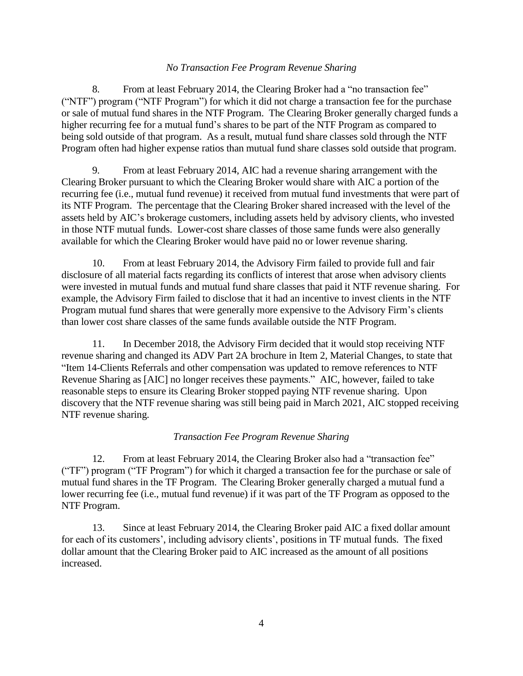## *No Transaction Fee Program Revenue Sharing*

8. From at least February 2014, the Clearing Broker had a "no transaction fee" ("NTF") program ("NTF Program") for which it did not charge a transaction fee for the purchase or sale of mutual fund shares in the NTF Program. The Clearing Broker generally charged funds a higher recurring fee for a mutual fund's shares to be part of the NTF Program as compared to being sold outside of that program. As a result, mutual fund share classes sold through the NTF Program often had higher expense ratios than mutual fund share classes sold outside that program.

9. From at least February 2014, AIC had a revenue sharing arrangement with the Clearing Broker pursuant to which the Clearing Broker would share with AIC a portion of the recurring fee (i.e., mutual fund revenue) it received from mutual fund investments that were part of its NTF Program. The percentage that the Clearing Broker shared increased with the level of the assets held by AIC's brokerage customers, including assets held by advisory clients, who invested in those NTF mutual funds. Lower-cost share classes of those same funds were also generally available for which the Clearing Broker would have paid no or lower revenue sharing.

10. From at least February 2014, the Advisory Firm failed to provide full and fair disclosure of all material facts regarding its conflicts of interest that arose when advisory clients were invested in mutual funds and mutual fund share classes that paid it NTF revenue sharing. For example, the Advisory Firm failed to disclose that it had an incentive to invest clients in the NTF Program mutual fund shares that were generally more expensive to the Advisory Firm's clients than lower cost share classes of the same funds available outside the NTF Program.

11. In December 2018, the Advisory Firm decided that it would stop receiving NTF revenue sharing and changed its ADV Part 2A brochure in Item 2, Material Changes, to state that "Item 14-Clients Referrals and other compensation was updated to remove references to NTF Revenue Sharing as [AIC] no longer receives these payments." AIC, however, failed to take reasonable steps to ensure its Clearing Broker stopped paying NTF revenue sharing. Upon discovery that the NTF revenue sharing was still being paid in March 2021, AIC stopped receiving NTF revenue sharing.

# *Transaction Fee Program Revenue Sharing*

12. From at least February 2014, the Clearing Broker also had a "transaction fee" ("TF") program ("TF Program") for which it charged a transaction fee for the purchase or sale of mutual fund shares in the TF Program. The Clearing Broker generally charged a mutual fund a lower recurring fee (i.e., mutual fund revenue) if it was part of the TF Program as opposed to the NTF Program.

13. Since at least February 2014, the Clearing Broker paid AIC a fixed dollar amount for each of its customers', including advisory clients', positions in TF mutual funds. The fixed dollar amount that the Clearing Broker paid to AIC increased as the amount of all positions increased.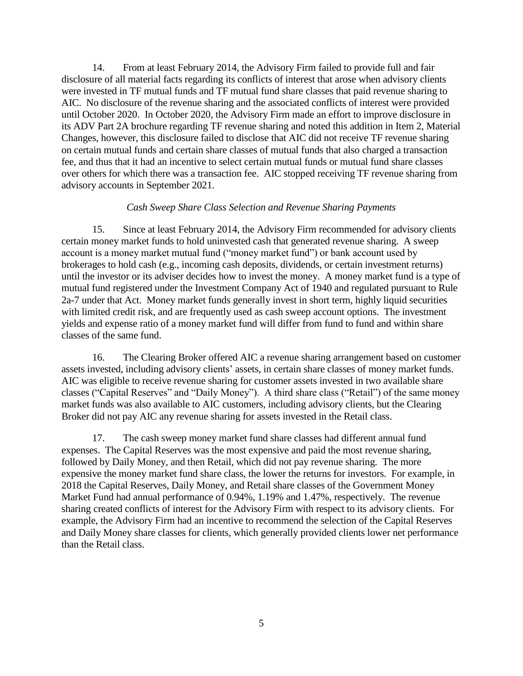14. From at least February 2014, the Advisory Firm failed to provide full and fair disclosure of all material facts regarding its conflicts of interest that arose when advisory clients were invested in TF mutual funds and TF mutual fund share classes that paid revenue sharing to AIC. No disclosure of the revenue sharing and the associated conflicts of interest were provided until October 2020. In October 2020, the Advisory Firm made an effort to improve disclosure in its ADV Part 2A brochure regarding TF revenue sharing and noted this addition in Item 2, Material Changes, however, this disclosure failed to disclose that AIC did not receive TF revenue sharing on certain mutual funds and certain share classes of mutual funds that also charged a transaction fee, and thus that it had an incentive to select certain mutual funds or mutual fund share classes over others for which there was a transaction fee. AIC stopped receiving TF revenue sharing from advisory accounts in September 2021.

### *Cash Sweep Share Class Selection and Revenue Sharing Payments*

15. Since at least February 2014, the Advisory Firm recommended for advisory clients certain money market funds to hold uninvested cash that generated revenue sharing. A sweep account is a money market mutual fund ("money market fund") or bank account used by brokerages to hold cash (e.g., incoming cash deposits, dividends, or certain investment returns) until the investor or its adviser decides how to invest the money. A money market fund is a type of mutual fund registered under the Investment Company Act of 1940 and regulated pursuant to Rule 2a-7 under that Act. Money market funds generally invest in short term, highly liquid securities with limited credit risk, and are frequently used as cash sweep account options. The investment yields and expense ratio of a money market fund will differ from fund to fund and within share classes of the same fund.

16. The Clearing Broker offered AIC a revenue sharing arrangement based on customer assets invested, including advisory clients' assets, in certain share classes of money market funds. AIC was eligible to receive revenue sharing for customer assets invested in two available share classes ("Capital Reserves" and "Daily Money"). A third share class ("Retail") of the same money market funds was also available to AIC customers, including advisory clients, but the Clearing Broker did not pay AIC any revenue sharing for assets invested in the Retail class.

17. The cash sweep money market fund share classes had different annual fund expenses. The Capital Reserves was the most expensive and paid the most revenue sharing, followed by Daily Money, and then Retail, which did not pay revenue sharing. The more expensive the money market fund share class, the lower the returns for investors. For example, in 2018 the Capital Reserves, Daily Money, and Retail share classes of the Government Money Market Fund had annual performance of 0.94%, 1.19% and 1.47%, respectively. The revenue sharing created conflicts of interest for the Advisory Firm with respect to its advisory clients. For example, the Advisory Firm had an incentive to recommend the selection of the Capital Reserves and Daily Money share classes for clients, which generally provided clients lower net performance than the Retail class.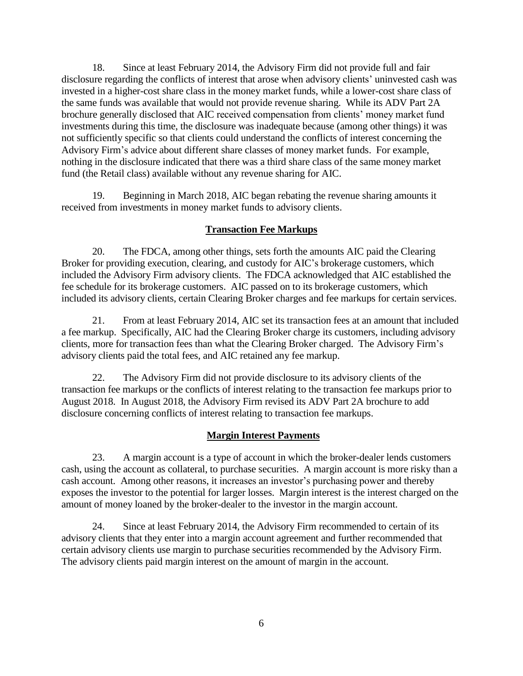18. Since at least February 2014, the Advisory Firm did not provide full and fair disclosure regarding the conflicts of interest that arose when advisory clients' uninvested cash was invested in a higher-cost share class in the money market funds, while a lower-cost share class of the same funds was available that would not provide revenue sharing. While its ADV Part 2A brochure generally disclosed that AIC received compensation from clients' money market fund investments during this time, the disclosure was inadequate because (among other things) it was not sufficiently specific so that clients could understand the conflicts of interest concerning the Advisory Firm's advice about different share classes of money market funds. For example, nothing in the disclosure indicated that there was a third share class of the same money market fund (the Retail class) available without any revenue sharing for AIC.

19. Beginning in March 2018, AIC began rebating the revenue sharing amounts it received from investments in money market funds to advisory clients.

# **Transaction Fee Markups**

20. The FDCA, among other things, sets forth the amounts AIC paid the Clearing Broker for providing execution, clearing, and custody for AIC's brokerage customers, which included the Advisory Firm advisory clients. The FDCA acknowledged that AIC established the fee schedule for its brokerage customers. AIC passed on to its brokerage customers, which included its advisory clients, certain Clearing Broker charges and fee markups for certain services.

21. From at least February 2014, AIC set its transaction fees at an amount that included a fee markup. Specifically, AIC had the Clearing Broker charge its customers, including advisory clients, more for transaction fees than what the Clearing Broker charged. The Advisory Firm's advisory clients paid the total fees, and AIC retained any fee markup.

22. The Advisory Firm did not provide disclosure to its advisory clients of the transaction fee markups or the conflicts of interest relating to the transaction fee markups prior to August 2018. In August 2018, the Advisory Firm revised its ADV Part 2A brochure to add disclosure concerning conflicts of interest relating to transaction fee markups.

# **Margin Interest Payments**

23. A margin account is a type of account in which the broker-dealer lends customers cash, using the account as collateral, to purchase securities. A margin account is more risky than a cash account. Among other reasons, it increases an investor's purchasing power and thereby exposes the investor to the potential for larger losses. Margin interest is the interest charged on the amount of money loaned by the broker-dealer to the investor in the margin account.

24. Since at least February 2014, the Advisory Firm recommended to certain of its advisory clients that they enter into a margin account agreement and further recommended that certain advisory clients use margin to purchase securities recommended by the Advisory Firm. The advisory clients paid margin interest on the amount of margin in the account.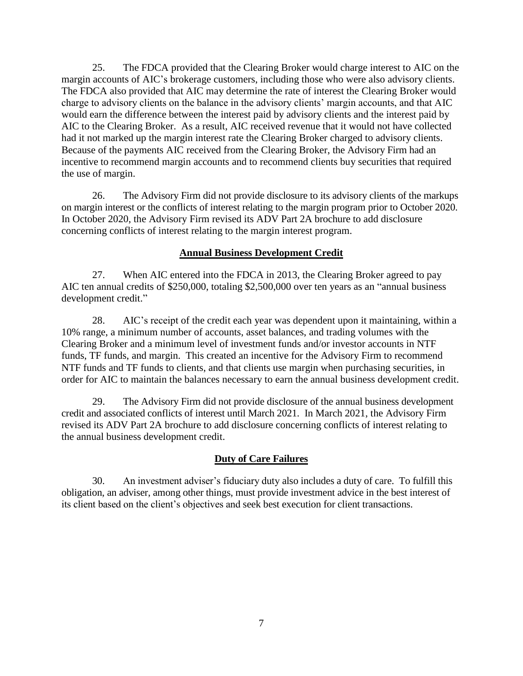25. The FDCA provided that the Clearing Broker would charge interest to AIC on the margin accounts of AIC's brokerage customers, including those who were also advisory clients. The FDCA also provided that AIC may determine the rate of interest the Clearing Broker would charge to advisory clients on the balance in the advisory clients' margin accounts, and that AIC would earn the difference between the interest paid by advisory clients and the interest paid by AIC to the Clearing Broker. As a result, AIC received revenue that it would not have collected had it not marked up the margin interest rate the Clearing Broker charged to advisory clients. Because of the payments AIC received from the Clearing Broker, the Advisory Firm had an incentive to recommend margin accounts and to recommend clients buy securities that required the use of margin.

26. The Advisory Firm did not provide disclosure to its advisory clients of the markups on margin interest or the conflicts of interest relating to the margin program prior to October 2020. In October 2020, the Advisory Firm revised its ADV Part 2A brochure to add disclosure concerning conflicts of interest relating to the margin interest program.

## **Annual Business Development Credit**

27. When AIC entered into the FDCA in 2013, the Clearing Broker agreed to pay AIC ten annual credits of \$250,000, totaling \$2,500,000 over ten years as an "annual business development credit."

28. AIC's receipt of the credit each year was dependent upon it maintaining, within a 10% range, a minimum number of accounts, asset balances, and trading volumes with the Clearing Broker and a minimum level of investment funds and/or investor accounts in NTF funds, TF funds, and margin. This created an incentive for the Advisory Firm to recommend NTF funds and TF funds to clients, and that clients use margin when purchasing securities, in order for AIC to maintain the balances necessary to earn the annual business development credit.

29. The Advisory Firm did not provide disclosure of the annual business development credit and associated conflicts of interest until March 2021. In March 2021, the Advisory Firm revised its ADV Part 2A brochure to add disclosure concerning conflicts of interest relating to the annual business development credit.

### **Duty of Care Failures**

30. An investment adviser's fiduciary duty also includes a duty of care. To fulfill this obligation, an adviser, among other things, must provide investment advice in the best interest of its client based on the client's objectives and seek best execution for client transactions.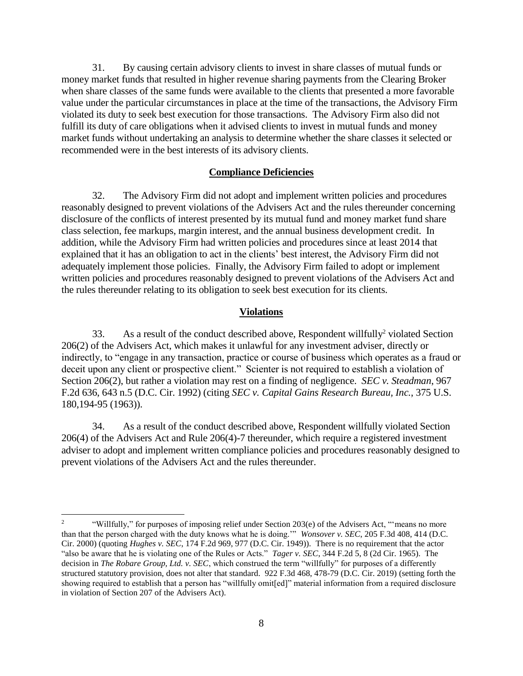31. By causing certain advisory clients to invest in share classes of mutual funds or money market funds that resulted in higher revenue sharing payments from the Clearing Broker when share classes of the same funds were available to the clients that presented a more favorable value under the particular circumstances in place at the time of the transactions, the Advisory Firm violated its duty to seek best execution for those transactions. The Advisory Firm also did not fulfill its duty of care obligations when it advised clients to invest in mutual funds and money market funds without undertaking an analysis to determine whether the share classes it selected or recommended were in the best interests of its advisory clients.

### **Compliance Deficiencies**

32. The Advisory Firm did not adopt and implement written policies and procedures reasonably designed to prevent violations of the Advisers Act and the rules thereunder concerning disclosure of the conflicts of interest presented by its mutual fund and money market fund share class selection, fee markups, margin interest, and the annual business development credit. In addition, while the Advisory Firm had written policies and procedures since at least 2014 that explained that it has an obligation to act in the clients' best interest, the Advisory Firm did not adequately implement those policies. Finally, the Advisory Firm failed to adopt or implement written policies and procedures reasonably designed to prevent violations of the Advisers Act and the rules thereunder relating to its obligation to seek best execution for its clients.

#### **Violations**

33. As a result of the conduct described above, Respondent willfully<sup>2</sup> violated Section 206(2) of the Advisers Act, which makes it unlawful for any investment adviser, directly or indirectly, to "engage in any transaction, practice or course of business which operates as a fraud or deceit upon any client or prospective client." Scienter is not required to establish a violation of Section 206(2), but rather a violation may rest on a finding of negligence. *SEC v. Steadman*, 967 F.2d 636, 643 n.5 (D.C. Cir. 1992) (citing *SEC v. Capital Gains Research Bureau, Inc.*, 375 U.S. 180,194-95 (1963)).

34. As a result of the conduct described above, Respondent willfully violated Section 206(4) of the Advisers Act and Rule 206(4)-7 thereunder, which require a registered investment adviser to adopt and implement written compliance policies and procedures reasonably designed to prevent violations of the Advisers Act and the rules thereunder.

 $\overline{a}$ 

<sup>2</sup> "Willfully," for purposes of imposing relief under Section 203(e) of the Advisers Act, "'means no more than that the person charged with the duty knows what he is doing.'" *Wonsover v. SEC*, 205 F.3d 408, 414 (D.C. Cir. 2000) (quoting *Hughes v. SEC*, 174 F.2d 969, 977 (D.C. Cir. 1949)). There is no requirement that the actor "also be aware that he is violating one of the Rules or Acts." *Tager v. SEC*, 344 F.2d 5, 8 (2d Cir. 1965). The decision in *The Robare Group, Ltd. v. SEC*, which construed the term "willfully" for purposes of a differently structured statutory provision, does not alter that standard. 922 F.3d 468, 478-79 (D.C. Cir. 2019) (setting forth the showing required to establish that a person has "willfully omit[ed]" material information from a required disclosure in violation of Section 207 of the Advisers Act).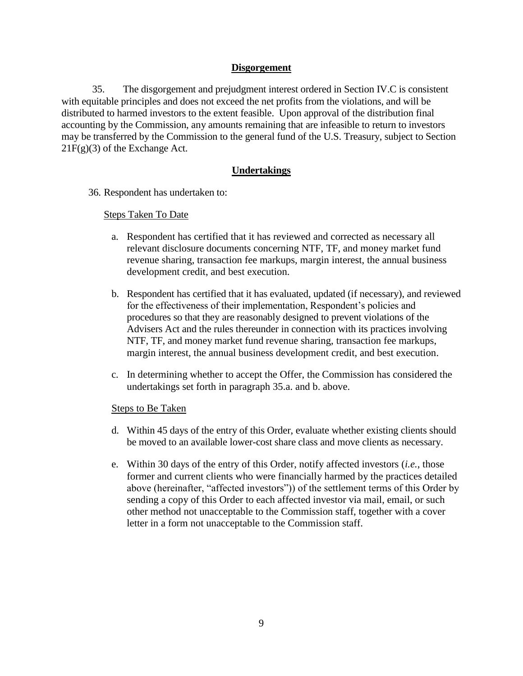# **Disgorgement**

35. The disgorgement and prejudgment interest ordered in Section IV.C is consistent with equitable principles and does not exceed the net profits from the violations, and will be distributed to harmed investors to the extent feasible. Upon approval of the distribution final accounting by the Commission, any amounts remaining that are infeasible to return to investors may be transferred by the Commission to the general fund of the U.S. Treasury, subject to Section  $21F(g)(3)$  of the Exchange Act.

# **Undertakings**

36. Respondent has undertaken to:

# Steps Taken To Date

- a. Respondent has certified that it has reviewed and corrected as necessary all relevant disclosure documents concerning NTF, TF, and money market fund revenue sharing, transaction fee markups, margin interest, the annual business development credit, and best execution.
- b. Respondent has certified that it has evaluated, updated (if necessary), and reviewed for the effectiveness of their implementation, Respondent's policies and procedures so that they are reasonably designed to prevent violations of the Advisers Act and the rules thereunder in connection with its practices involving NTF, TF, and money market fund revenue sharing, transaction fee markups, margin interest, the annual business development credit, and best execution.
- c. In determining whether to accept the Offer, the Commission has considered the undertakings set forth in paragraph 35.a. and b. above.

# Steps to Be Taken

- d. Within 45 days of the entry of this Order, evaluate whether existing clients should be moved to an available lower-cost share class and move clients as necessary.
- e. Within 30 days of the entry of this Order, notify affected investors (*i.e.*, those former and current clients who were financially harmed by the practices detailed above (hereinafter, "affected investors")) of the settlement terms of this Order by sending a copy of this Order to each affected investor via mail, email, or such other method not unacceptable to the Commission staff, together with a cover letter in a form not unacceptable to the Commission staff.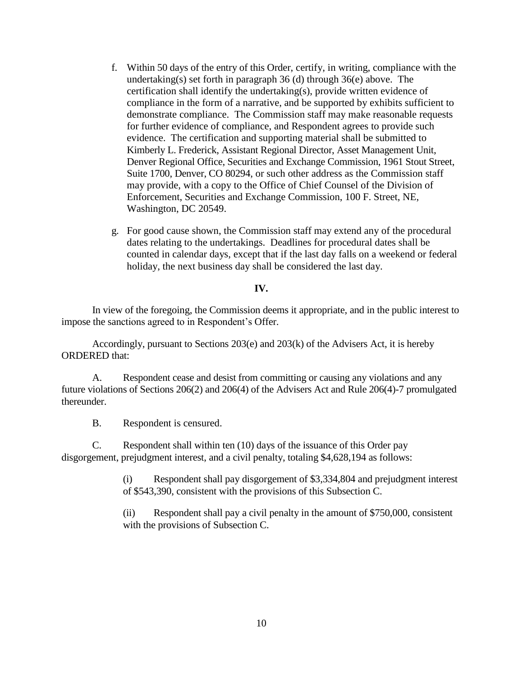- f. Within 50 days of the entry of this Order, certify, in writing, compliance with the undertaking(s) set forth in paragraph 36 (d) through 36(e) above. The certification shall identify the undertaking(s), provide written evidence of compliance in the form of a narrative, and be supported by exhibits sufficient to demonstrate compliance. The Commission staff may make reasonable requests for further evidence of compliance, and Respondent agrees to provide such evidence. The certification and supporting material shall be submitted to Kimberly L. Frederick, Assistant Regional Director, Asset Management Unit, Denver Regional Office, Securities and Exchange Commission, 1961 Stout Street, Suite 1700, Denver, CO 80294, or such other address as the Commission staff may provide, with a copy to the Office of Chief Counsel of the Division of Enforcement, Securities and Exchange Commission, 100 F. Street, NE, Washington, DC 20549.
- g. For good cause shown, the Commission staff may extend any of the procedural dates relating to the undertakings. Deadlines for procedural dates shall be counted in calendar days, except that if the last day falls on a weekend or federal holiday, the next business day shall be considered the last day.

## **IV.**

In view of the foregoing, the Commission deems it appropriate, and in the public interest to impose the sanctions agreed to in Respondent's Offer.

Accordingly, pursuant to Sections 203(e) and 203(k) of the Advisers Act, it is hereby ORDERED that:

A. Respondent cease and desist from committing or causing any violations and any future violations of Sections 206(2) and 206(4) of the Advisers Act and Rule 206(4)-7 promulgated thereunder.

B. Respondent is censured.

C. Respondent shall within ten (10) days of the issuance of this Order pay disgorgement, prejudgment interest, and a civil penalty, totaling \$4,628,194 as follows:

> (i) Respondent shall pay disgorgement of \$3,334,804 and prejudgment interest of \$543,390, consistent with the provisions of this Subsection C.

(ii) Respondent shall pay a civil penalty in the amount of \$750,000, consistent with the provisions of Subsection C.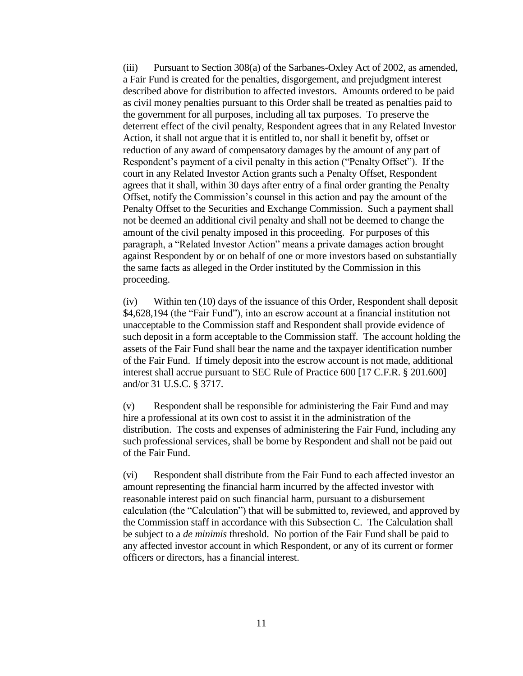(iii) Pursuant to Section 308(a) of the Sarbanes-Oxley Act of 2002, as amended, a Fair Fund is created for the penalties, disgorgement, and prejudgment interest described above for distribution to affected investors. Amounts ordered to be paid as civil money penalties pursuant to this Order shall be treated as penalties paid to the government for all purposes, including all tax purposes. To preserve the deterrent effect of the civil penalty, Respondent agrees that in any Related Investor Action, it shall not argue that it is entitled to, nor shall it benefit by, offset or reduction of any award of compensatory damages by the amount of any part of Respondent's payment of a civil penalty in this action ("Penalty Offset"). If the court in any Related Investor Action grants such a Penalty Offset, Respondent agrees that it shall, within 30 days after entry of a final order granting the Penalty Offset, notify the Commission's counsel in this action and pay the amount of the Penalty Offset to the Securities and Exchange Commission. Such a payment shall not be deemed an additional civil penalty and shall not be deemed to change the amount of the civil penalty imposed in this proceeding. For purposes of this paragraph, a "Related Investor Action" means a private damages action brought against Respondent by or on behalf of one or more investors based on substantially the same facts as alleged in the Order instituted by the Commission in this proceeding.

(iv) Within ten (10) days of the issuance of this Order, Respondent shall deposit \$4,628,194 (the "Fair Fund"), into an escrow account at a financial institution not unacceptable to the Commission staff and Respondent shall provide evidence of such deposit in a form acceptable to the Commission staff. The account holding the assets of the Fair Fund shall bear the name and the taxpayer identification number of the Fair Fund. If timely deposit into the escrow account is not made, additional interest shall accrue pursuant to SEC Rule of Practice 600 [17 C.F.R. § 201.600] and/or 31 U.S.C. § 3717.

(v) Respondent shall be responsible for administering the Fair Fund and may hire a professional at its own cost to assist it in the administration of the distribution. The costs and expenses of administering the Fair Fund, including any such professional services, shall be borne by Respondent and shall not be paid out of the Fair Fund.

(vi) Respondent shall distribute from the Fair Fund to each affected investor an amount representing the financial harm incurred by the affected investor with reasonable interest paid on such financial harm, pursuant to a disbursement calculation (the "Calculation") that will be submitted to, reviewed, and approved by the Commission staff in accordance with this Subsection C. The Calculation shall be subject to a *de minimis* threshold. No portion of the Fair Fund shall be paid to any affected investor account in which Respondent, or any of its current or former officers or directors, has a financial interest.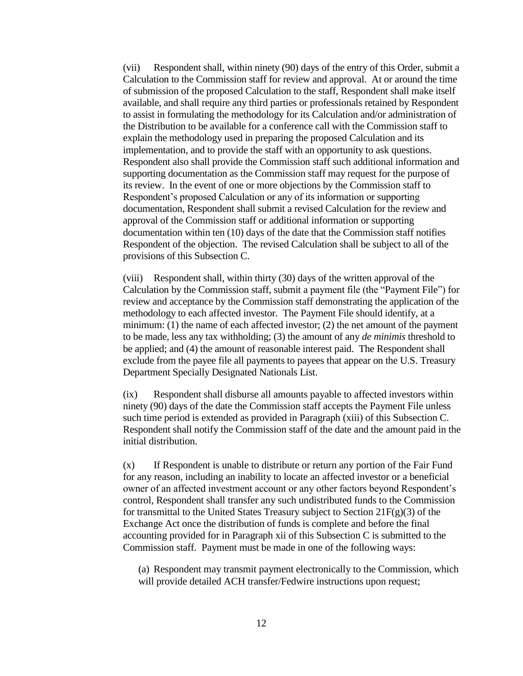(vii) Respondent shall, within ninety (90) days of the entry of this Order, submit a Calculation to the Commission staff for review and approval. At or around the time of submission of the proposed Calculation to the staff, Respondent shall make itself available, and shall require any third parties or professionals retained by Respondent to assist in formulating the methodology for its Calculation and/or administration of the Distribution to be available for a conference call with the Commission staff to explain the methodology used in preparing the proposed Calculation and its implementation, and to provide the staff with an opportunity to ask questions. Respondent also shall provide the Commission staff such additional information and supporting documentation as the Commission staff may request for the purpose of its review. In the event of one or more objections by the Commission staff to Respondent's proposed Calculation or any of its information or supporting documentation, Respondent shall submit a revised Calculation for the review and approval of the Commission staff or additional information or supporting documentation within ten (10) days of the date that the Commission staff notifies Respondent of the objection. The revised Calculation shall be subject to all of the provisions of this Subsection C.

(viii) Respondent shall, within thirty (30) days of the written approval of the Calculation by the Commission staff, submit a payment file (the "Payment File") for review and acceptance by the Commission staff demonstrating the application of the methodology to each affected investor. The Payment File should identify, at a minimum: (1) the name of each affected investor; (2) the net amount of the payment to be made, less any tax withholding; (3) the amount of any *de minimis* threshold to be applied; and (4) the amount of reasonable interest paid. The Respondent shall exclude from the payee file all payments to payees that appear on the U.S. Treasury Department Specially Designated Nationals List.

(ix) Respondent shall disburse all amounts payable to affected investors within ninety (90) days of the date the Commission staff accepts the Payment File unless such time period is extended as provided in Paragraph (xiii) of this Subsection C. Respondent shall notify the Commission staff of the date and the amount paid in the initial distribution.

(x) If Respondent is unable to distribute or return any portion of the Fair Fund for any reason, including an inability to locate an affected investor or a beneficial owner of an affected investment account or any other factors beyond Respondent's control, Respondent shall transfer any such undistributed funds to the Commission for transmittal to the United States Treasury subject to Section  $21F(g)(3)$  of the Exchange Act once the distribution of funds is complete and before the final accounting provided for in Paragraph xii of this Subsection C is submitted to the Commission staff. Payment must be made in one of the following ways:

(a) Respondent may transmit payment electronically to the Commission, which will provide detailed ACH transfer/Fedwire instructions upon request;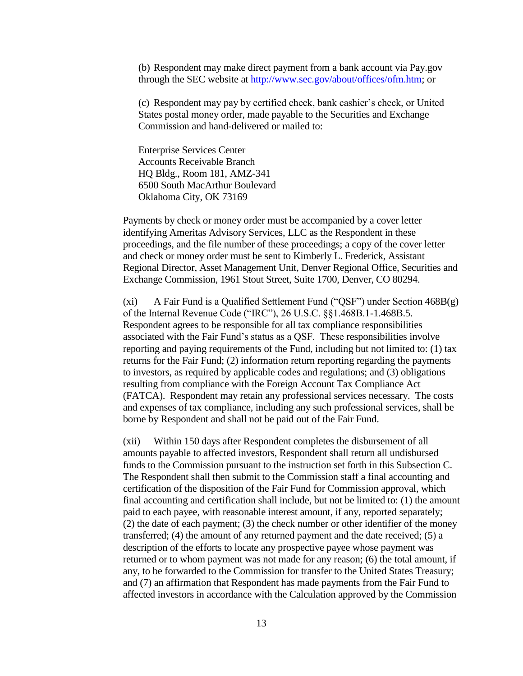(b) Respondent may make direct payment from a bank account via Pay.gov through the SEC website at [http://www.sec.gov/about/offices/ofm.htm;](http://www.sec.gov/about/offices/ofm.htm) or

(c) Respondent may pay by certified check, bank cashier's check, or United States postal money order, made payable to the Securities and Exchange Commission and hand-delivered or mailed to:

Enterprise Services Center Accounts Receivable Branch HQ Bldg., Room 181, AMZ-341 6500 South MacArthur Boulevard Oklahoma City, OK 73169

Payments by check or money order must be accompanied by a cover letter identifying Ameritas Advisory Services, LLC as the Respondent in these proceedings, and the file number of these proceedings; a copy of the cover letter and check or money order must be sent to Kimberly L. Frederick, Assistant Regional Director, Asset Management Unit, Denver Regional Office, Securities and Exchange Commission, 1961 Stout Street, Suite 1700, Denver, CO 80294.

(xi) A Fair Fund is a Qualified Settlement Fund ("QSF") under Section 468B(g) of the Internal Revenue Code ("IRC"), 26 U.S.C. §§1.468B.1-1.468B.5. Respondent agrees to be responsible for all tax compliance responsibilities associated with the Fair Fund's status as a QSF. These responsibilities involve reporting and paying requirements of the Fund, including but not limited to: (1) tax returns for the Fair Fund; (2) information return reporting regarding the payments to investors, as required by applicable codes and regulations; and (3) obligations resulting from compliance with the Foreign Account Tax Compliance Act (FATCA). Respondent may retain any professional services necessary. The costs and expenses of tax compliance, including any such professional services, shall be borne by Respondent and shall not be paid out of the Fair Fund.

(xii) Within 150 days after Respondent completes the disbursement of all amounts payable to affected investors, Respondent shall return all undisbursed funds to the Commission pursuant to the instruction set forth in this Subsection C. The Respondent shall then submit to the Commission staff a final accounting and certification of the disposition of the Fair Fund for Commission approval, which final accounting and certification shall include, but not be limited to: (1) the amount paid to each payee, with reasonable interest amount, if any, reported separately; (2) the date of each payment; (3) the check number or other identifier of the money transferred; (4) the amount of any returned payment and the date received; (5) a description of the efforts to locate any prospective payee whose payment was returned or to whom payment was not made for any reason; (6) the total amount, if any, to be forwarded to the Commission for transfer to the United States Treasury; and (7) an affirmation that Respondent has made payments from the Fair Fund to affected investors in accordance with the Calculation approved by the Commission